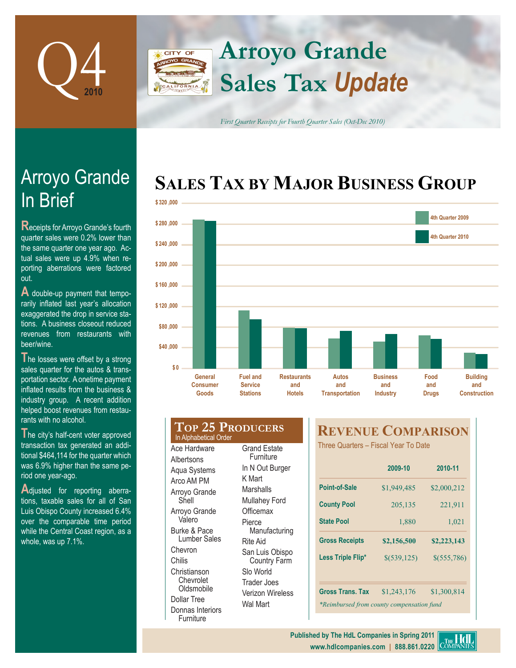

## **Arroyo Grande CITY OF Sales Tax** *Update*

*First Quarter Receipts for Fourth Quarter Sales (Oct-Dec 2010)*

# **SALES TAX BY MAJOR BUSINESS GROUP**



# In Brief Arroyo Grande

**R**eceipts for Arroyo Grande's fourth quarter sales were 0.2% lower than the same quarter one year ago. Actual sales were up 4.9% when reporting aberrations were factored out.

**A** double-up payment that temporarily inflated last year's allocation exaggerated the drop in service stations. A business closeout reduced revenues from restaurants with beer/wine.

The losses were offset by a strong sales quarter for the autos & transportation sector. A onetime payment inflated results from the business & industry group. A recent addition helped boost revenues from restaurants with no alcohol.

The city's half-cent voter approved transaction tax generated an additional \$464,114 for the quarter which was 6.9% higher than the same period one year-ago.

**A**djusted for reporting aberrations, taxable sales for all of San Luis Obispo County increased 6.4% over the comparable time period while the Central Coast region, as a whole, was up 7.1%.

#### **Top 25 Producers** Ace Hardware **Albertsons** Grand Estate **Furniture** In Alphabetical Order

Aqua Systems Arco AM PM Arroyo Grande Shell Arroyo Grande Valero Burke & Pace Lumber Sales Chevron Chilis Christianson Chevrolet **Oldsmobile** Dollar Tree Donnas Interiors Furniture

In N Out Burger K Mart Marshalls Mullahey Ford **Officemax** Pierce Manufacturing Rite Aid San Luis Obispo Country Farm Slo World Trader Joes Verizon Wireless Wal Mart

## **REVENUE COMPARISON**

Three Quarters – Fiscal Year To Date

|                                           | 2009-10     | 2010-11       |  |
|-------------------------------------------|-------------|---------------|--|
| Point-of-Sale                             | \$1,949,485 | \$2,000,212   |  |
| <b>County Pool</b>                        | 205,135     | 221,911       |  |
| <b>State Pool</b>                         | 1,880       | 1,021         |  |
| <b>Gross Receipts</b>                     | \$2,156,500 | \$2,223,143   |  |
| Less Triple Flip*                         | \$(539,125) | $$$ (555,786) |  |
|                                           |             |               |  |
| <b>Gross Trans, Tax</b>                   | \$1,243,176 | \$1,300,814   |  |
| *Reimbursed from county compensation fund |             |               |  |